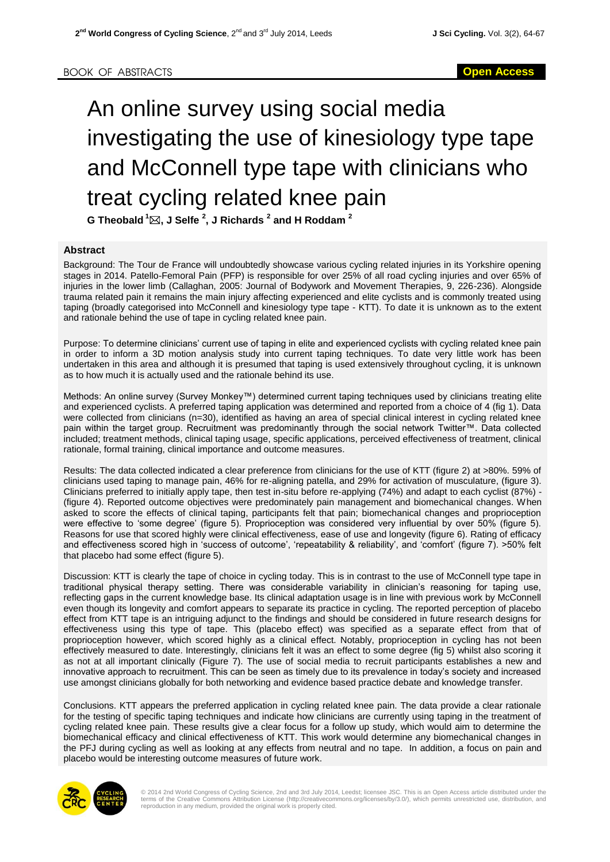## An online survey using social media investigating the use of kinesiology type tape and McConnell type tape with clinicians who treat cycling related knee pain **G Theobald <sup>1</sup>, J Selfe <sup>2</sup> , J Richards <sup>2</sup> and H Roddam <sup>2</sup>**

## **Abstract**

Background: The Tour de France will undoubtedly showcase various cycling related injuries in its Yorkshire opening stages in 2014. Patello-Femoral Pain (PFP) is responsible for over 25% of all road cycling injuries and over 65% of injuries in the lower limb (Callaghan, 2005: Journal of Bodywork and Movement Therapies, 9, 226-236). Alongside trauma related pain it remains the main injury affecting experienced and elite cyclists and is commonly treated using taping (broadly categorised into McConnell and kinesiology type tape - KTT). To date it is unknown as to the extent and rationale behind the use of tape in cycling related knee pain.

Purpose: To determine clinicians' current use of taping in elite and experienced cyclists with cycling related knee pain in order to inform a 3D motion analysis study into current taping techniques. To date very little work has been undertaken in this area and although it is presumed that taping is used extensively throughout cycling, it is unknown as to how much it is actually used and the rationale behind its use.

Methods: An online survey (Survey Monkey™) determined current taping techniques used by clinicians treating elite and experienced cyclists. A preferred taping application was determined and reported from a choice of 4 (fig 1). Data were collected from clinicians (n=30), identified as having an area of special clinical interest in cycling related knee pain within the target group. Recruitment was predominantly through the social network Twitter™. Data collected included; treatment methods, clinical taping usage, specific applications, perceived effectiveness of treatment, clinical rationale, formal training, clinical importance and outcome measures.

Results: The data collected indicated a clear preference from clinicians for the use of KTT (figure 2) at >80%. 59% of clinicians used taping to manage pain, 46% for re-aligning patella, and 29% for activation of musculature, (figure 3). Clinicians preferred to initially apply tape, then test in-situ before re-applying (74%) and adapt to each cyclist (87%) - (figure 4). Reported outcome objectives were predominately pain management and biomechanical changes. When asked to score the effects of clinical taping, participants felt that pain; biomechanical changes and proprioception were effective to 'some degree' (figure 5). Proprioception was considered very influential by over 50% (figure 5). Reasons for use that scored highly were clinical effectiveness, ease of use and longevity (figure 6). Rating of efficacy and effectiveness scored high in 'success of outcome', 'repeatability & reliability', and 'comfort' (figure 7). >50% felt that placebo had some effect (figure 5).

Discussion: KTT is clearly the tape of choice in cycling today. This is in contrast to the use of McConnell type tape in traditional physical therapy setting. There was considerable variability in clinician's reasoning for taping use, reflecting gaps in the current knowledge base. Its clinical adaptation usage is in line with previous work by McConnell even though its longevity and comfort appears to separate its practice in cycling. The reported perception of placebo effect from KTT tape is an intriguing adjunct to the findings and should be considered in future research designs for effectiveness using this type of tape. This (placebo effect) was specified as a separate effect from that of proprioception however, which scored highly as a clinical effect. Notably, proprioception in cycling has not been effectively measured to date. Interestingly, clinicians felt it was an effect to some degree (fig 5) whilst also scoring it as not at all important clinically (Figure 7). The use of social media to recruit participants establishes a new and innovative approach to recruitment. This can be seen as timely due to its prevalence in today's society and increased use amongst clinicians globally for both networking and evidence based practice debate and knowledge transfer.

Conclusions. KTT appears the preferred application in cycling related knee pain. The data provide a clear rationale for the testing of specific taping techniques and indicate how clinicians are currently using taping in the treatment of cycling related knee pain. These results give a clear focus for a follow up study, which would aim to determine the biomechanical efficacy and clinical effectiveness of KTT. This work would determine any biomechanical changes in the PFJ during cycling as well as looking at any effects from neutral and no tape. In addition, a focus on pain and placebo would be interesting outcome measures of future work.



© 2014 2nd World Congress of Cycling Science, 2nd and 3rd July 2014, Leedst; licensee JSC. This is an Open Access article distributed under the<br>terms of the Creative Commons Attribution License (http://creativecommons.org/ reproduction in any medium, provided the original work is properly cited.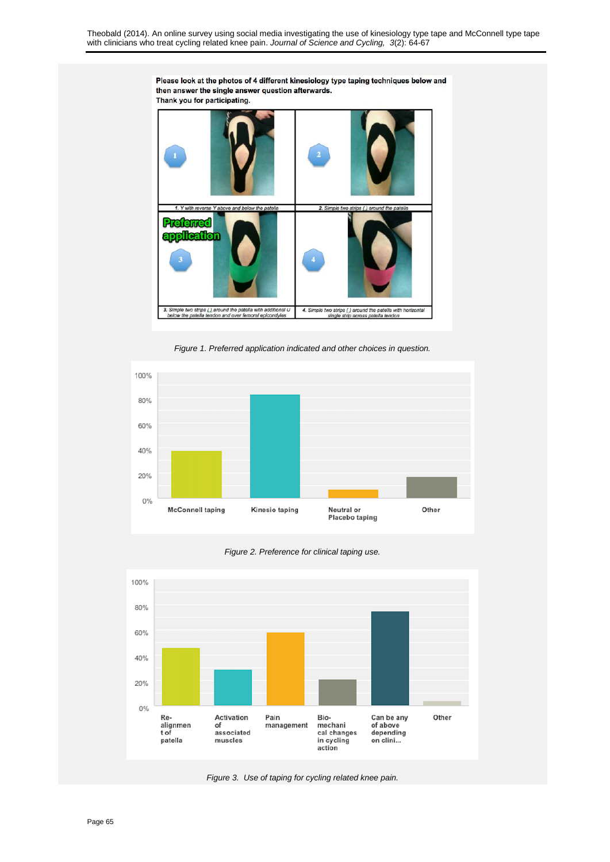

*Figure 1. Preferred application indicated and other choices in question.*



*Figure 2. Preference for clinical taping use.*



*Figure 3. Use of taping for cycling related knee pain.*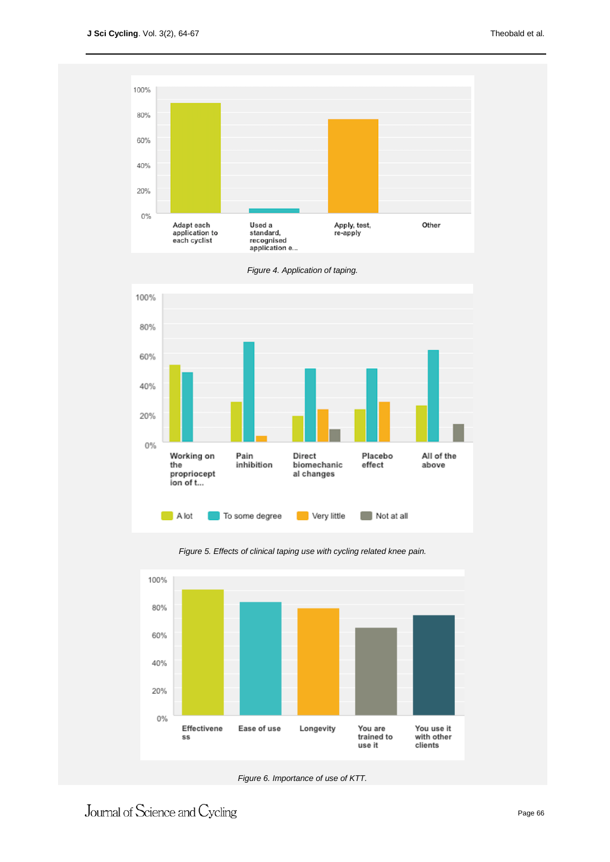



*Figure 4. Application of taping.*



*Figure 5. Effects of clinical taping use with cycling related knee pain.*

*Figure 6. Importance of use of KTT.*